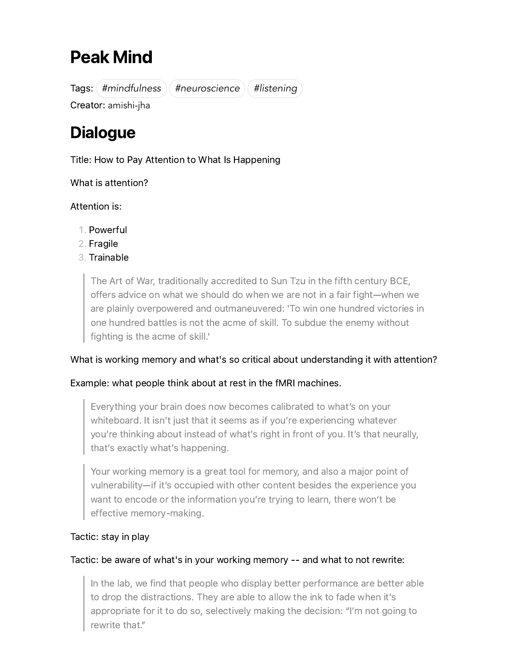# Peak Mind

Tags: *#mindfulness #neuroscience #listening*

Creator: amishi-jha

## **Dialogue**

Title: How to Pay Attention to What Is Happening

What is attention?

Attention is:

- . Powerful
- . Fragile
- . Trainable

The Art of War, traditionally accredited to Sun Tzu in the fifth century BCE, offers advice on what we should do when we are not in a fair fight—when we are plainly overpowered and outmaneuvered: 'To win one hundred victories in one hundred battles is not the acme of skill. To subdue the enemy without fighting is the acme of skill.'

#### What is working memory and what's so critical about understanding it with attention?

#### Example: what people think about at rest in the fMRI machines.

Everything your brain does now becomes calibrated to what's on your whiteboard. It isn't just that it seems as if you're experiencing whatever you're thinking about instead of what's right in front of you. It's that neurally, that's exactly what's happening.

Your working memory is a great tool for memory, and also a major point of vulnerability—if it's occupied with other content besides the experience you want to encode or the information you're trying to learn, there won't be effective memory-making.

#### Tactic: stay in play

#### Tactic: be aware of what's in your working memory -- and what to not rewrite:

In the lab, we find that people who display better performance are better able to drop the distractions. They are able to allow the ink to fade when it's appropriate for it to do so, selectively making the decision: "I'm not going to rewrite that."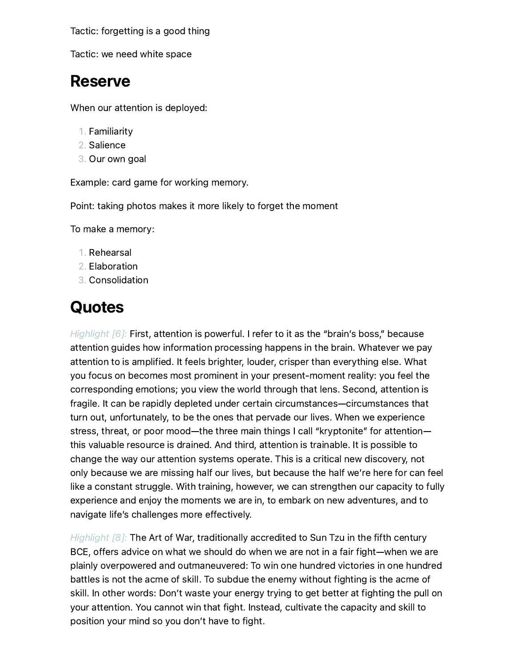Tactic: forgetting is a good thing

Tactic: we need white space

### Reserve

When our attention is deployed:

- . Familiarity
- 2. Salience
- . Our own goal

Example: card game for working memory.

Point: taking photos makes it more likely to forget the moment

To make a memory:

- . Rehearsal
- . Elaboration
- . Consolidation

### Quotes

Highlight [6]: First, attention is powerful. I refer to it as the "brain's boss," because attention guides how information processing happens in the brain. Whatever we pay attention to is amplified. It feels brighter, louder, crisper than everything else. What you focus on becomes most prominent in your present-moment reality: you feel the corresponding emotions; you view the world through that lens. Second, attention is fragile. It can be rapidly depleted under certain circumstances—circumstances that turn out, unfortunately, to be the ones that pervade our lives. When we experience stress, threat, or poor mood—the three main things I call "kryptonite" for attention this valuable resource is drained. And third, attention is trainable. It is possible to change the way our attention systems operate. This is a critical new discovery, not only because we are missing half our lives, but because the half we're here for can feel like a constant struggle. With training, however, we can strengthen our capacity to fully experience and enjoy the moments we are in, to embark on new adventures, and to navigate life's challenges more effectively.

Highlight [8]: The Art of War, traditionally accredited to Sun Tzu in the fifth century BCE, offers advice on what we should do when we are not in a fair fight—when we are plainly overpowered and outmaneuvered: To win one hundred victories in one hundred battles is not the acme of skill. To subdue the enemy without fighting is the acme of skill. In other words: Don't waste your energy trying to get better at fighting the pull on your attention. You cannot win that fight. Instead, cultivate the capacity and skill to position your mind so you don't have to fight.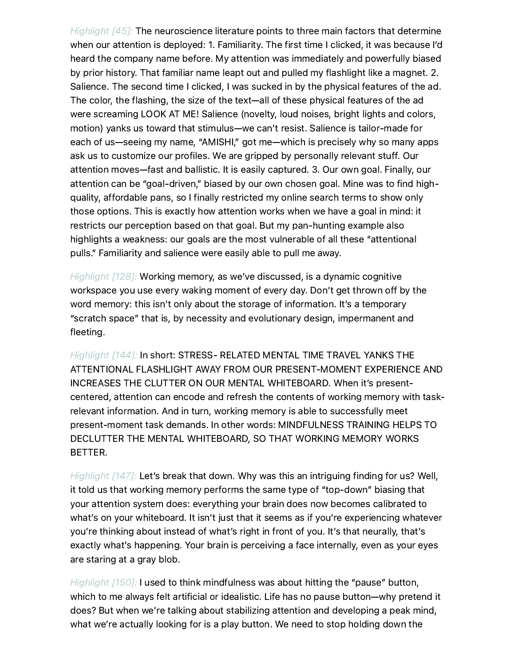Highlight  $[45]$ : The neuroscience literature points to three main factors that determine when our attention is deployed: 1. Familiarity. The first time I clicked, it was because I'd heard the company name before. My attention was immediately and powerfully biased by prior history. That familiar name leapt out and pulled my flashlight like a magnet. 2. Salience. The second time I clicked, I was sucked in by the physical features of the ad. The color, the flashing, the size of the text—all of these physical features of the ad were screaming LOOK AT ME! Salience (novelty, loud noises, bright lights and colors, motion) yanks us toward that stimulus—we can't resist. Salience is tailor-made for each of us—seeing my name, "AMISHI," got me—which is precisely why so many apps ask us to customize our profiles. We are gripped by personally relevant stuff. Our attention moves—fast and ballistic. It is easily captured. 3. Our own goal. Finally, our attention can be "goal-driven," biased by our own chosen goal. Mine was to find highquality, affordable pans, so I finally restricted my online search terms to show only those options. This is exactly how attention works when we have a goal in mind: it restricts our perception based on that goal. But my pan-hunting example also highlights a weakness: our goals are the most vulnerable of all these "attentional pulls." Familiarity and salience were easily able to pull me away.

Highlight [128]: Working memory, as we've discussed, is a dynamic cognitive workspace you use every waking moment of every day. Don't get thrown off by the word memory: this isn't only about the storage of information. It's a temporary "scratch space" that is, by necessity and evolutionary design, impermanent and fleeting.

Highlight [144]: In short: STRESS- RELATED MENTAL TIME TRAVEL YANKS THE ATTENTIONAL FLASHLIGHT AWAY FROM OUR PRESENT-MOMENT EXPERIENCE AND INCREASES THE CLUTTER ON OUR MENTAL WHITEBOARD. When it's presentcentered, attention can encode and refresh the contents of working memory with taskrelevant information. And in turn, working memory is able to successfully meet present-moment task demands. In other words: MINDFULNESS TRAINING HELPS TO DECLUTTER THE MENTAL WHITEBOARD, SO THAT WORKING MEMORY WORKS BETTER.

Highlight [147]: Let's break that down. Why was this an intriguing finding for us? Well, it told us that working memory performs the same type of "top-down" biasing that your attention system does: everything your brain does now becomes calibrated to what's on your whiteboard. It isn't just that it seems as if you're experiencing whatever you're thinking about instead of what's right in front of you. It's that neurally, that's exactly what's happening. Your brain is perceiving a face internally, even as your eyes are staring at a gray blob.

Highlight [150]: I used to think mindfulness was about hitting the "pause" button, which to me always felt artificial or idealistic. Life has no pause button—why pretend it does? But when we're talking about stabilizing attention and developing a peak mind, what we're actually looking for is a play button. We need to stop holding down the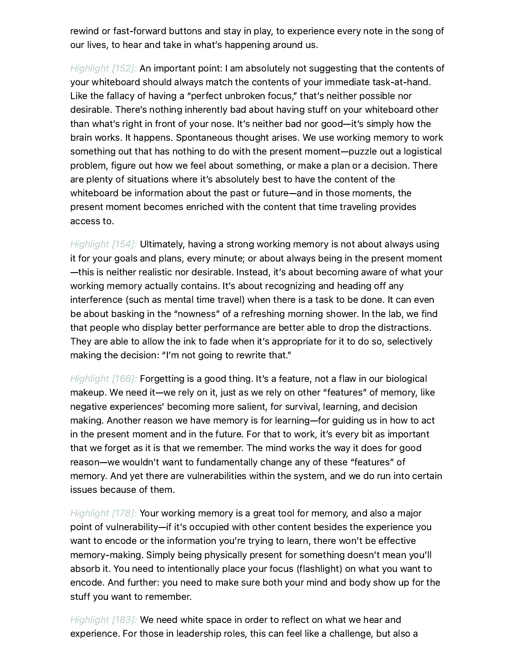rewind or fast-forward buttons and stay in play, to experience every note in the song of our lives, to hear and take in what's happening around us.

Highlight [152]: An important point: I am absolutely not suggesting that the contents of your whiteboard should always match the contents of your immediate task-at-hand. Like the fallacy of having a "perfect unbroken focus," that's neither possible nor desirable. There's nothing inherently bad about having stuff on your whiteboard other than what's right in front of your nose. It's neither bad nor good—it's simply how the brain works. It happens. Spontaneous thought arises. We use working memory to work something out that has nothing to do with the present moment—puzzle out a logistical problem, figure out how we feel about something, or make a plan or a decision. There are plenty of situations where it's absolutely best to have the content of the whiteboard be information about the past or future—and in those moments, the present moment becomes enriched with the content that time traveling provides access to.

Highlight [154]: Ultimately, having a strong working memory is not about always using it for your goals and plans, every minute; or about always being in the present moment —this is neither realistic nor desirable. Instead, it's about becoming aware of what your working memory actually contains. It's about recognizing and heading off any interference (such as mental time travel) when there is a task to be done. It can even be about basking in the "nowness" of a refreshing morning shower. In the lab, we find that people who display better performance are better able to drop the distractions. They are able to allow the ink to fade when it's appropriate for it to do so, selectively making the decision: "I'm not going to rewrite that."

Highlight [166]: Forgetting is a good thing. It's a feature, not a flaw in our biological makeup. We need it—we rely on it, just as we rely on other "features" of memory, like negative experiences' becoming more salient, for survival, learning, and decision making. Another reason we have memory is for learning—for guiding us in how to act in the present moment and in the future. For that to work, it's every bit as important that we forget as it is that we remember. The mind works the way it does for good reason—we wouldn't want to fundamentally change any of these "features" of memory. And yet there are vulnerabilities within the system, and we do run into certain issues because of them.

Highlight [178]: Your working memory is a great tool for memory, and also a major point of vulnerability—if it's occupied with other content besides the experience you want to encode or the information you're trying to learn, there won't be effective memory-making. Simply being physically present for something doesn't mean you'll absorb it. You need to intentionally place your focus (flashlight) on what you want to encode. And further: you need to make sure both your mind and body show up for the stuff you want to remember.

Highlight [183]: We need white space in order to reflect on what we hear and experience. For those in leadership roles, this can feel like a challenge, but also a